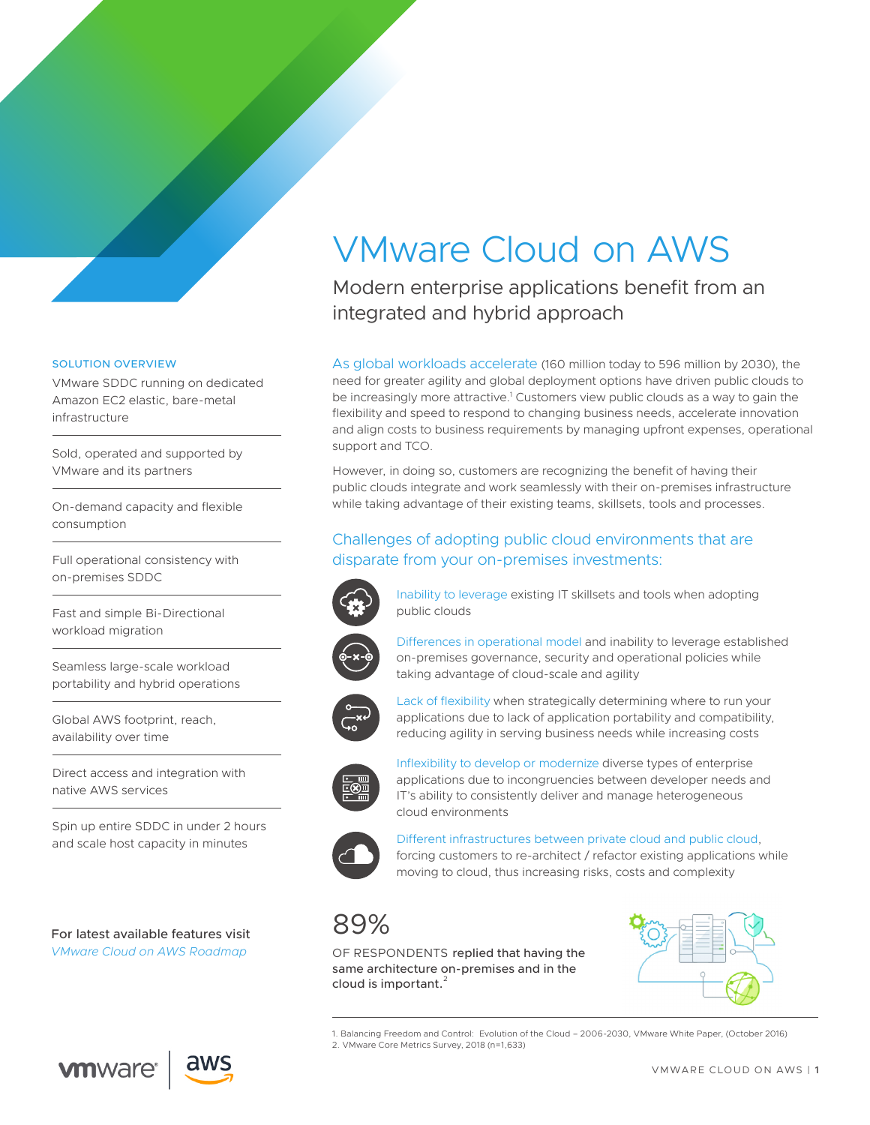# VMware Cloud on AWS

Modern enterprise applications benefit from an integrated and hybrid approach

As global workloads accelerate (160 million today to 596 million by 2030), the need for greater agility and global deployment options have driven public clouds to be increasingly more attractive.<sup>1</sup> Customers view public clouds as a way to gain the flexibility and speed to respond to changing business needs, accelerate innovation and align costs to business requirements by managing upfront expenses, operational support and TCO.

However, in doing so, customers are recognizing the benefit of having their public clouds integrate and work seamlessly with their on-premises infrastructure while taking advantage of their existing teams, skillsets, tools and processes.

## Challenges of adopting public cloud environments that are disparate from your on-premises investments:



Inability to leverage existing IT skillsets and tools when adopting public clouds



Differences in operational model and inability to leverage established on-premises governance, security and operational policies while taking advantage of cloud-scale and agility



Lack of flexibility when strategically determining where to run your applications due to lack of application portability and compatibility, reducing agility in serving business needs while increasing costs



Inflexibility to develop or modernize diverse types of enterprise applications due to incongruencies between developer needs and IT's ability to consistently deliver and manage heterogeneous cloud environments



Different infrastructures between private cloud and public cloud, forcing customers to re-architect / refactor existing applications while moving to cloud, thus increasing risks, costs and complexity

## 89%

OF RESPONDENTS replied that having the same architecture on-premises and in the cloud is important.<sup>2</sup>



1. Balancing Freedom and Control: Evolution of the Cloud – 2006-2030, VMware White Paper, (October 2016) 2. VMware Core Metrics Survey, 2018 (n=1,633)

#### SOLUTION OVERVIEW

VMware SDDC running on dedicated Amazon EC2 elastic, bare-metal infrastructure

Sold, operated and supported by VMware and its partners

On-demand capacity and flexible consumption

Full operational consistency with on-premises SDDC

Fast and simple Bi-Directional workload migration

Seamless large-scale workload portability and hybrid operations

Global AWS footprint, reach, availability over time

Direct access and integration with native AWS services

Spin up entire SDDC in under 2 hours and scale host capacity in minutes

For latest available features visit *[VMware Cloud on AWS Roadmap](https://cloud.vmware.com/vmc-aws/roadmap)*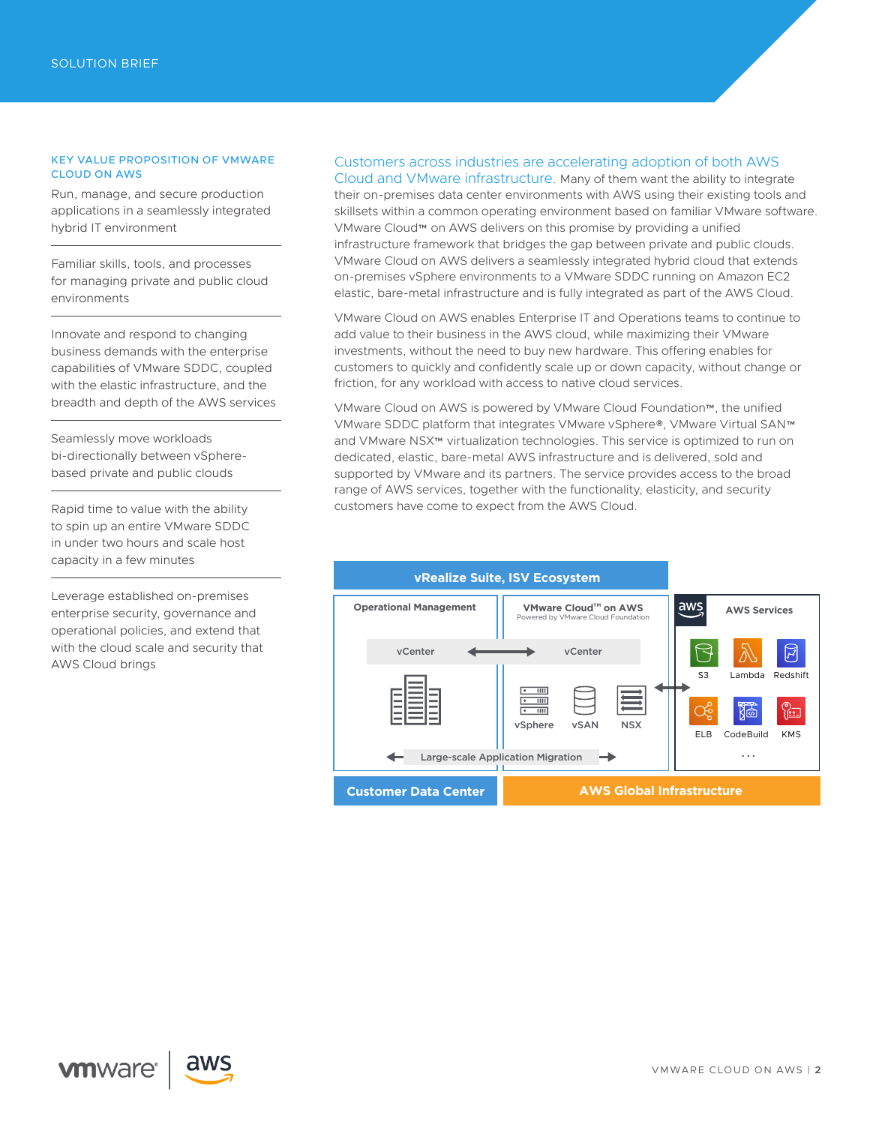#### KEY VALUE PROPOSITION OF VMWARE CLOUD ON AWS

Run, manage, and secure production applications in a seamlessly integrated hybrid IT environment

Familiar skills, tools, and processes for managing private and public cloud environments

Innovate and respond to changing business demands with the enterprise capabilities of VMware SDDC, coupled with the elastic infrastructure, and the breadth and depth of the AWS services

Seamlessly move workloads bi-directionally between vSpherebased private and public clouds

Rapid time to value with the ability to spin up an entire VMware SDDC in under two hours and scale host capacity in a few minutes

Leverage established on-premises enterprise security, governance and operational policies, and extend that with the cloud scale and security that AWS Cloud brings

### Customers across industries are accelerating adoption of both AWS

Cloud and VMware infrastructure. Many of them want the ability to integrate their on-premises data center environments with AWS using their existing tools and skillsets within a common operating environment based on familiar VMware software. VMware Cloud™ on AWS delivers on this promise by providing a unified infrastructure framework that bridges the gap between private and public clouds. VMware Cloud on AWS delivers a seamlessly integrated hybrid cloud that extends on-premises vSphere environments to a VMware SDDC running on Amazon EC2 elastic, bare-metal infrastructure and is fully integrated as part of the AWS Cloud.

VMware Cloud on AWS enables Enterprise IT and Operations teams to continue to add value to their business in the AWS cloud, while maximizing their VMware investments, without the need to buy new hardware. This offering enables for customers to quickly and confidently scale up or down capacity, without change or friction, for any workload with access to native cloud services.

VMware Cloud on AWS is powered by VMware Cloud Foundation™, the unified VMware SDDC platform that integrates VMware vSphere®, VMware Virtual SAN™ and VMware NSX™ virtualization technologies. This service is optimized to run on dedicated, elastic, bare-metal AWS infrastructure and is delivered, sold and supported by VMware and its partners. The service provides access to the broad range of AWS services, together with the functionality, elasticity, and security customers have come to expect from the AWS Cloud.



**vm**ware<sup>®</sup>

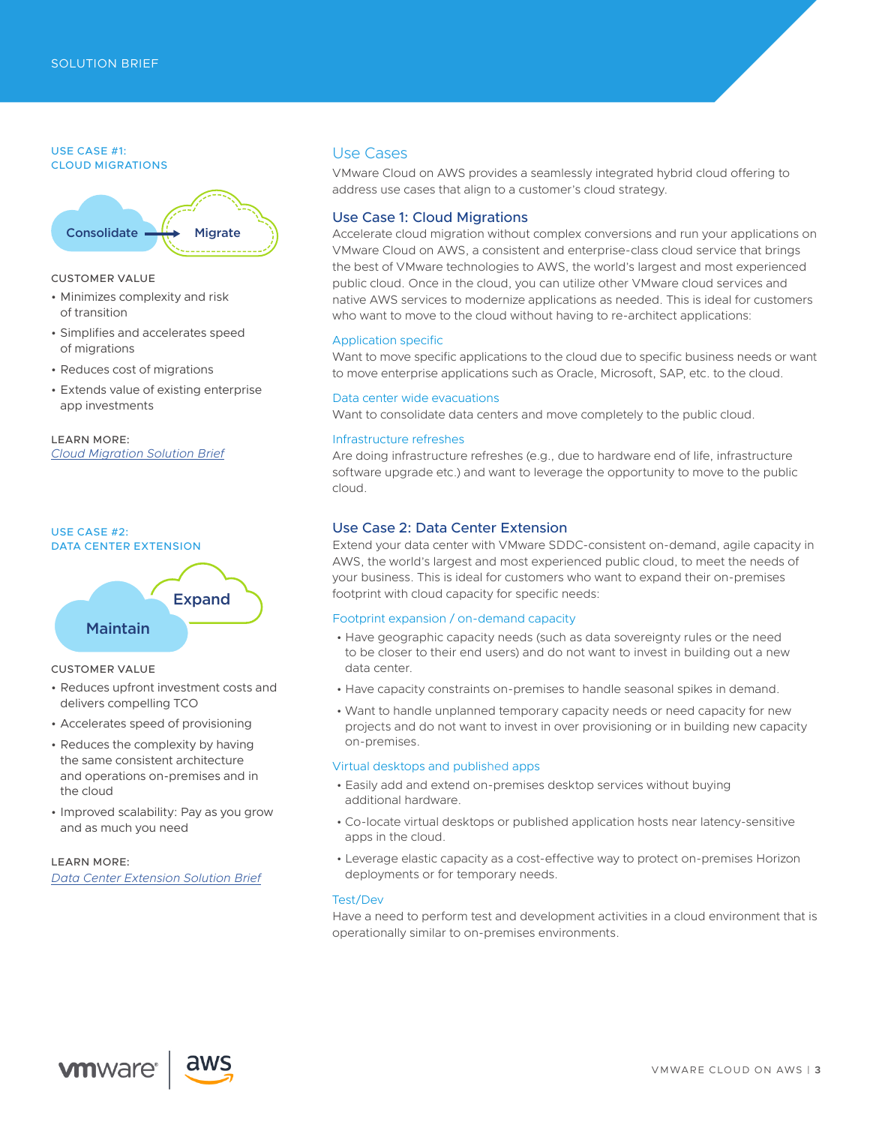#### USE CASE #1: CLOUD MIGRATIONS



#### CUSTOMER VALUE

- Minimizes complexity and risk of transition
- Simplifies and accelerates speed of migrations
- Reduces cost of migrations
- Extends value of existing enterprise app investments

#### LEARN MORE: *[Cloud Migration Solution Brief](https://assets.contentstack.io/v3/assets/blt58b49a8a0e43b5ff/bltd0827b31931e4407/5ccb89d84c5fe89364166e52/VMware_Cloud_on_AWS_Cloud_Migration_Solution_Brief.pdf)*



## Maintain

#### CUSTOMER VALUE

- Reduces upfront investment costs and delivers compelling TCO
- Accelerates speed of provisioning
- Reduces the complexity by having the same consistent architecture and operations on-premises and in the cloud
- Improved scalability: Pay as you grow and as much you need

LEARN MORE: *[Data Center Extension Solution Brief](https://assets.contentstack.io/v3/assets/blt58b49a8a0e43b5ff/blt29f1eeeffb71f0a2/5ccb8a219bcd0279640ce3ed/Data_Center_Extension_VMware_Cloud_on_AWS_Solution_Brief.pdf)*

## Use Cases

VMware Cloud on AWS provides a seamlessly integrated hybrid cloud offering to address use cases that align to a customer's cloud strategy.

#### Use Case 1: Cloud Migrations

Accelerate cloud migration without complex conversions and run your applications on VMware Cloud on AWS, a consistent and enterprise-class cloud service that brings the best of VMware technologies to AWS, the world's largest and most experienced public cloud. Once in the cloud, you can utilize other VMware cloud services and native AWS services to modernize applications as needed. This is ideal for customers who want to move to the cloud without having to re-architect applications:

#### Application specific

Want to move specific applications to the cloud due to specific business needs or want to move enterprise applications such as Oracle, Microsoft, SAP, etc. to the cloud.

#### Data center wide evacuations

Want to consolidate data centers and move completely to the public cloud.

#### Infrastructure refreshes

Are doing infrastructure refreshes (e.g., due to hardware end of life, infrastructure software upgrade etc.) and want to leverage the opportunity to move to the public cloud.

#### Use Case 2: Data Center Extension

Extend your data center with VMware SDDC-consistent on-demand, agile capacity in AWS, the world's largest and most experienced public cloud, to meet the needs of your business. This is ideal for customers who want to expand their on-premises footprint with cloud capacity for specific needs:

#### Footprint expansion / on-demand capacity

- Have geographic capacity needs (such as data sovereignty rules or the need to be closer to their end users) and do not want to invest in building out a new data center.
- Have capacity constraints on-premises to handle seasonal spikes in demand.
- Want to handle unplanned temporary capacity needs or need capacity for new projects and do not want to invest in over provisioning or in building new capacity on-premises.

#### Virtual desktops and published apps

- Easily add and extend on-premises desktop services without buying additional hardware.
- Co-locate virtual desktops or published application hosts near latency-sensitive apps in the cloud.
- Leverage elastic capacity as a cost-effective way to protect on-premises Horizon deployments or for temporary needs.

#### Test/Dev

Have a need to perform test and development activities in a cloud environment that is operationally similar to on-premises environments.

**vm**ware<sup>®</sup>